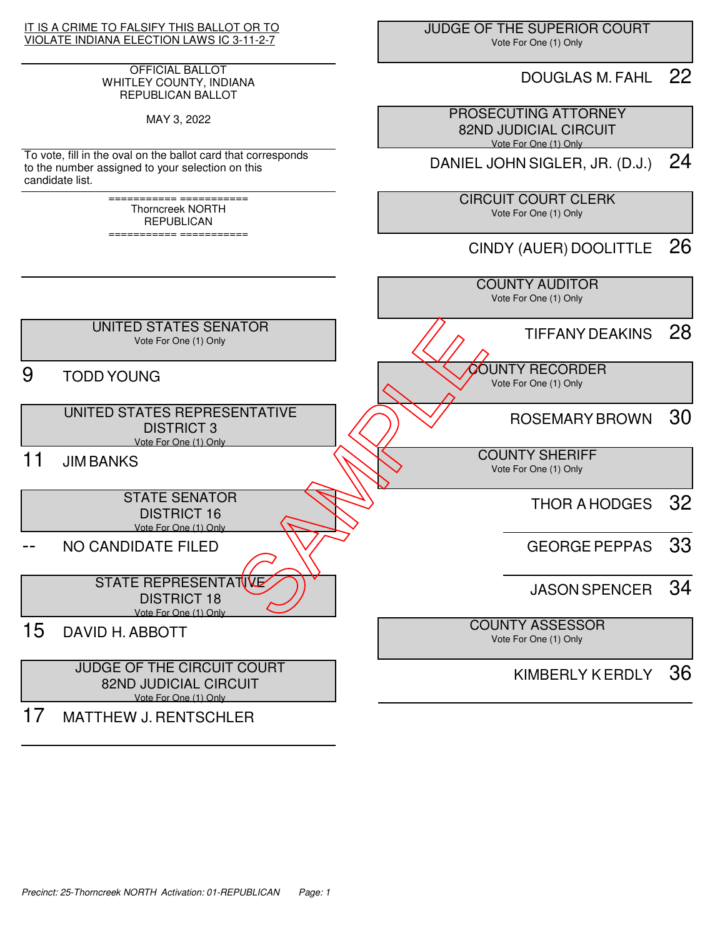

#### OFFICIAL BALLOT WHITLEY COUNTY, INDIANA REPUBLICAN BALLOT

MAY 3, 2022

To vote, fill in the oval on the ballot card that corresponds to the number assigned to your selection on this candidate list.

> =========== =========== Thorncreek NORTH REPUBLICAN

> =========== ===========

 JUDGE OF THE SUPERIOR COURT Vote For One (1) Only

### DOUGLAS M. FAHL 22

 PROSECUTING ATTORNEY 82ND JUDICIAL CIRCUIT Vote For One (1) Only

DANIEL JOHN SIGLER, JR. (D.J.) 24

 CIRCUIT COURT CLERK Vote For One (1) Only

CINDY (AUER) DOOLITTLE 26

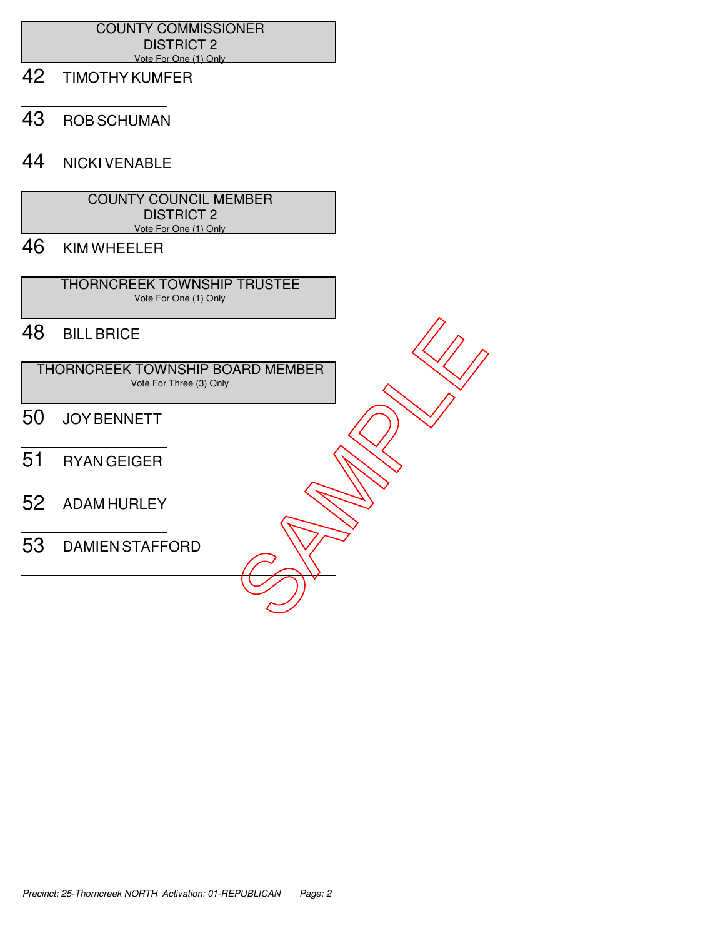#### COUNTY COMMISSIONER DISTRICT 2 Vote For One (1) Only

- 42 TIMOTHY KUMFER
- 43 ROB SCHUMAN

## 44 NICKI VENABLE

| <b>COUNTY COUNCIL MEMBER</b> |  |
|------------------------------|--|
| <b>DISTRICT 2</b>            |  |
| Vote For One (1) Only        |  |

# 46 KIM WHEELER

 THORNCREEK TOWNSHIP TRUSTEE Vote For One (1) Only

## 48 BILL BRICE

 THORNCREEK TOWNSHIP BOARD MEMBER Vote For Three (3) Only FRORNCREEK TOWNSHIP BOARD MEMBER<br>
THORNCREEK TOWNSHIP BOARD MEMBER<br>
50 JOY BENNETT<br>
51 RYAN GEIGER<br>
52 ADAMIHURLEY<br>
53 DAMIEN STAFFORD

- 50 JOY BENNETT
- 51 RYAN GEIGER
- 52 ADAM HURLEY
-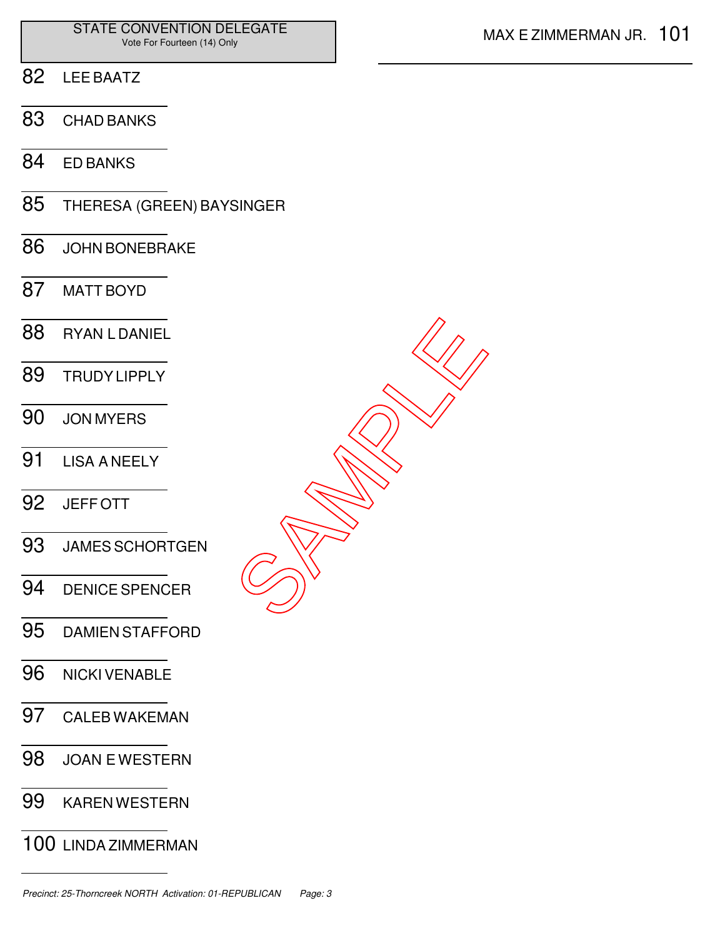- LEE BAATZ
- CHAD BANKS
- ED BANKS
- THERESA (GREEN) BAYSINGER
- JOHN BONEBRAKE
- MATT BOYD
- RYAN L DANIEL TRUDY LIPPLY JON MYERS LISA A NEELY JEFF OTT JAMES SCHORTGEN DENICE SPENCER DAMIEN STAFFORD SAMPLE<br>SAMPLE
- NICKI VENABLE
- CALEB WAKEMAN
- JOAN E WESTERN
- KAREN WESTERN
- LINDA ZIMMERMAN